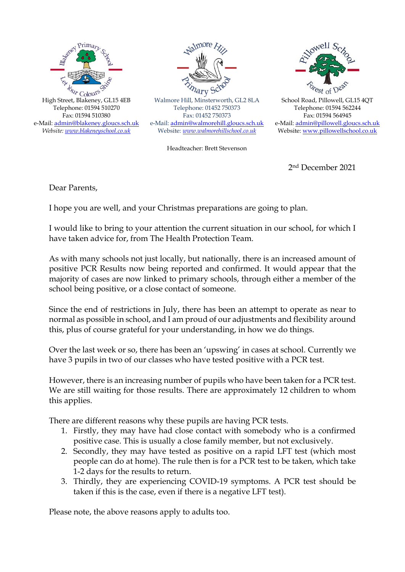



Walmore Hill, Minsterworth, GL2 8LA Telephone: 01452 750373 Fax: 01452 750373 e-Mail: [admin@walmorehill.gloucs.sch.uk](mailto:admin@walmorehill.gloucs.sch.uk) Website: *[www.walmorehillschool.co.uk](http://www.walmorehillschool.co.uk/)*

Headteacher: Brett Stevenson



School Road, Pillowell, GL15 4QT Telephone: 01594 562244 Fax: 01594 564945 e-Mail[: admin@pillowell.gloucs.sch.uk](mailto:admin@pillowell.gloucs.sch.uk) Website: [www.pillowellschool.co.uk](http://www.pillowellschool.co.uk/)

2nd December 2021

Dear Parents,

I hope you are well, and your Christmas preparations are going to plan.

I would like to bring to your attention the current situation in our school, for which I have taken advice for, from The Health Protection Team.

As with many schools not just locally, but nationally, there is an increased amount of positive PCR Results now being reported and confirmed. It would appear that the majority of cases are now linked to primary schools, through either a member of the school being positive, or a close contact of someone.

Since the end of restrictions in July, there has been an attempt to operate as near to normal as possible in school, and I am proud of our adjustments and flexibility around this, plus of course grateful for your understanding, in how we do things.

Over the last week or so, there has been an 'upswing' in cases at school. Currently we have 3 pupils in two of our classes who have tested positive with a PCR test.

However, there is an increasing number of pupils who have been taken for a PCR test. We are still waiting for those results. There are approximately 12 children to whom this applies.

There are different reasons why these pupils are having PCR tests.

- 1. Firstly, they may have had close contact with somebody who is a confirmed positive case. This is usually a close family member, but not exclusively.
- 2. Secondly, they may have tested as positive on a rapid LFT test (which most people can do at home). The rule then is for a PCR test to be taken, which take 1-2 days for the results to return.
- 3. Thirdly, they are experiencing COVID-19 symptoms. A PCR test should be taken if this is the case, even if there is a negative LFT test).

Please note, the above reasons apply to adults too.